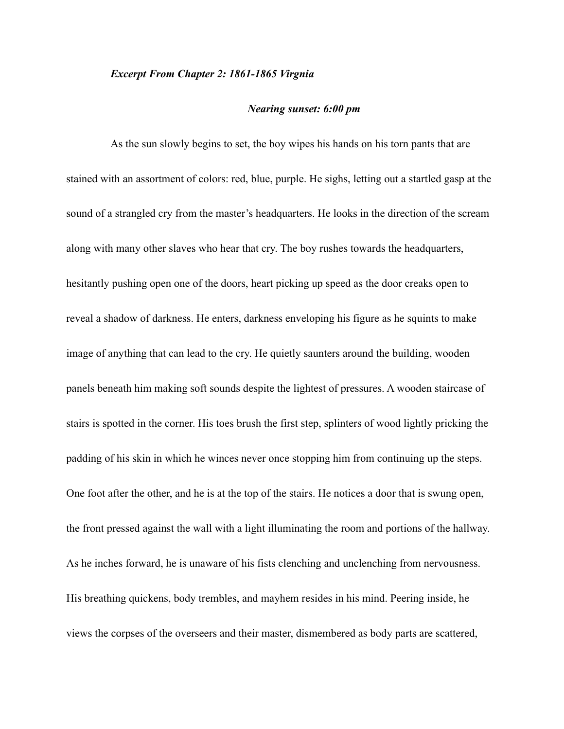## *Excerpt From Chapter 2: 1861-1865 Virgnia*

## *Nearing sunset: 6:00 pm*

As the sun slowly begins to set, the boy wipes his hands on his torn pants that are stained with an assortment of colors: red, blue, purple. He sighs, letting out a startled gasp at the sound of a strangled cry from the master's headquarters. He looks in the direction of the scream along with many other slaves who hear that cry. The boy rushes towards the headquarters, hesitantly pushing open one of the doors, heart picking up speed as the door creaks open to reveal a shadow of darkness. He enters, darkness enveloping his figure as he squints to make image of anything that can lead to the cry. He quietly saunters around the building, wooden panels beneath him making soft sounds despite the lightest of pressures. A wooden staircase of stairs is spotted in the corner. His toes brush the first step, splinters of wood lightly pricking the padding of his skin in which he winces never once stopping him from continuing up the steps. One foot after the other, and he is at the top of the stairs. He notices a door that is swung open, the front pressed against the wall with a light illuminating the room and portions of the hallway. As he inches forward, he is unaware of his fists clenching and unclenching from nervousness. His breathing quickens, body trembles, and mayhem resides in his mind. Peering inside, he views the corpses of the overseers and their master, dismembered as body parts are scattered,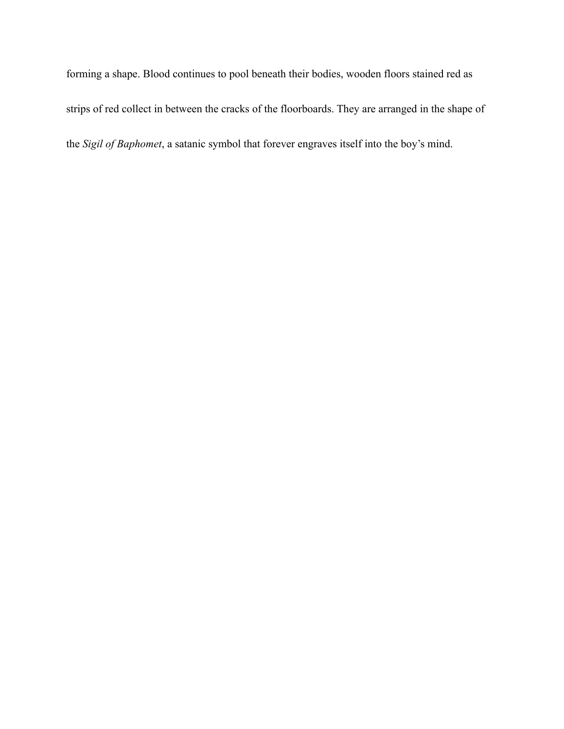forming a shape. Blood continues to pool beneath their bodies, wooden floors stained red as strips of red collect in between the cracks of the floorboards. They are arranged in the shape of the *Sigil of Baphomet*, a satanic symbol that forever engraves itself into the boy's mind.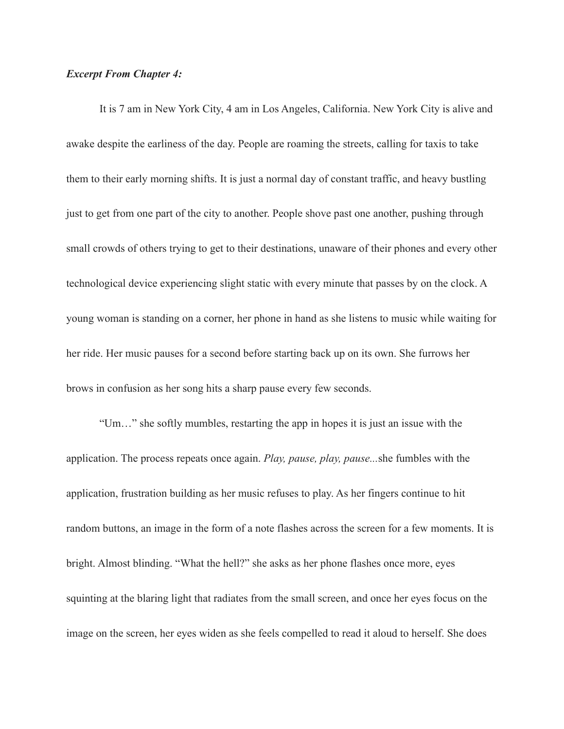## *Excerpt From Chapter 4:*

 It is 7 am in New York City, 4 am in Los Angeles, California. New York City is alive and awake despite the earliness of the day. People are roaming the streets, calling for taxis to take them to their early morning shifts. It is just a normal day of constant traffic, and heavy bustling just to get from one part of the city to another. People shove past one another, pushing through small crowds of others trying to get to their destinations, unaware of their phones and every other technological device experiencing slight static with every minute that passes by on the clock. A young woman is standing on a corner, her phone in hand as she listens to music while waiting for her ride. Her music pauses for a second before starting back up on its own. She furrows her brows in confusion as her song hits a sharp pause every few seconds.

 "Um…" she softly mumbles, restarting the app in hopes it is just an issue with the application. The process repeats once again. *Play, pause, play, pause...*she fumbles with the application, frustration building as her music refuses to play. As her fingers continue to hit random buttons, an image in the form of a note flashes across the screen for a few moments. It is bright. Almost blinding. "What the hell?" she asks as her phone flashes once more, eyes squinting at the blaring light that radiates from the small screen, and once her eyes focus on the image on the screen, her eyes widen as she feels compelled to read it aloud to herself. She does